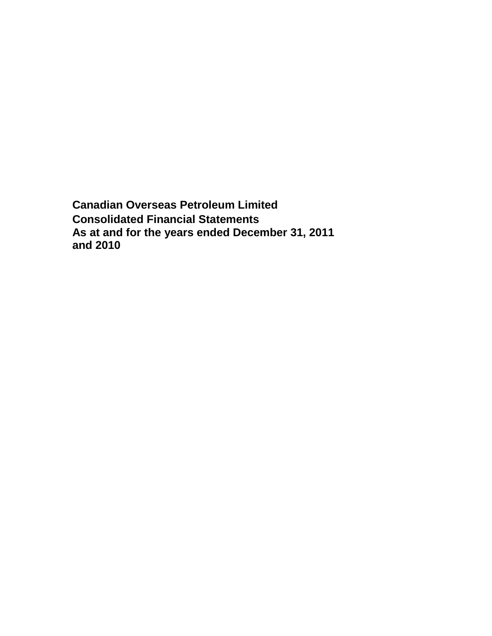**Canadian Overseas Petroleum Limited Consolidated Financial Statements As at and for the years ended December 31, 2011 and 2010**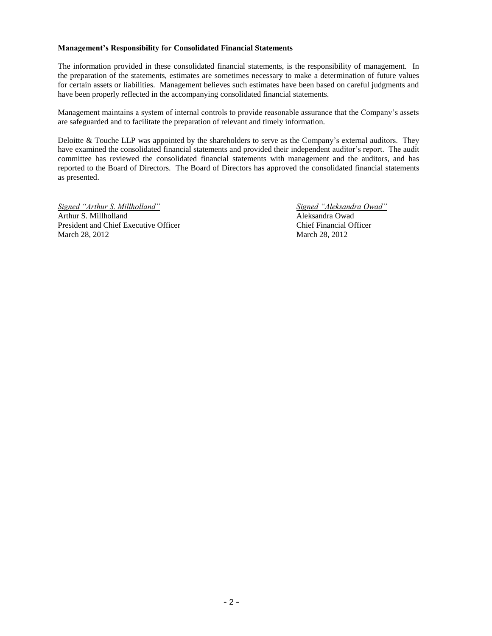# **Management's Responsibility for Consolidated Financial Statements**

The information provided in these consolidated financial statements, is the responsibility of management. In the preparation of the statements, estimates are sometimes necessary to make a determination of future values for certain assets or liabilities. Management believes such estimates have been based on careful judgments and have been properly reflected in the accompanying consolidated financial statements.

Management maintains a system of internal controls to provide reasonable assurance that the Company's assets are safeguarded and to facilitate the preparation of relevant and timely information.

Deloitte & Touche LLP was appointed by the shareholders to serve as the Company's external auditors. They have examined the consolidated financial statements and provided their independent auditor's report. The audit committee has reviewed the consolidated financial statements with management and the auditors, and has reported to the Board of Directors. The Board of Directors has approved the consolidated financial statements as presented.

*Signed "Arthur S. Millholland" Signed "Aleksandra Owad"* Arthur S. Millholland Aleksandra Owad President and Chief Executive Officer Chief Financial Officer March 28, 2012 March 28, 2012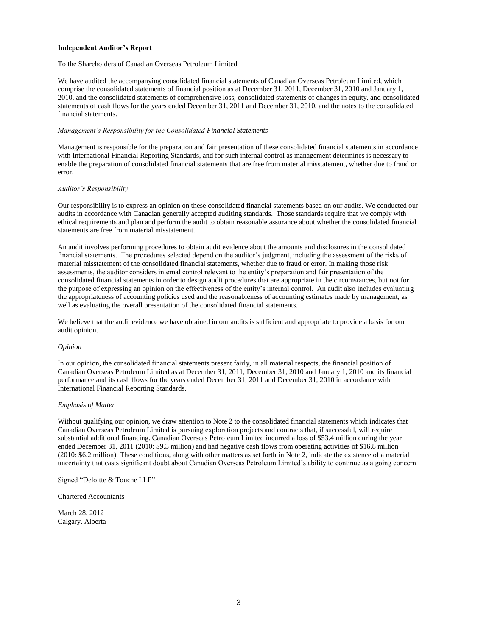#### **Independent Auditor's Report**

#### To the Shareholders of Canadian Overseas Petroleum Limited

We have audited the accompanying consolidated financial statements of Canadian Overseas Petroleum Limited, which comprise the consolidated statements of financial position as at December 31, 2011, December 31, 2010 and January 1, 2010, and the consolidated statements of comprehensive loss, consolidated statements of changes in equity, and consolidated statements of cash flows for the years ended December 31, 2011 and December 31, 2010, and the notes to the consolidated financial statements.

#### *Management's Responsibility for the Consolidated Financial Statements*

Management is responsible for the preparation and fair presentation of these consolidated financial statements in accordance with International Financial Reporting Standards, and for such internal control as management determines is necessary to enable the preparation of consolidated financial statements that are free from material misstatement, whether due to fraud or error.

#### *Auditor's Responsibility*

Our responsibility is to express an opinion on these consolidated financial statements based on our audits. We conducted our audits in accordance with Canadian generally accepted auditing standards. Those standards require that we comply with ethical requirements and plan and perform the audit to obtain reasonable assurance about whether the consolidated financial statements are free from material misstatement.

An audit involves performing procedures to obtain audit evidence about the amounts and disclosures in the consolidated financial statements. The procedures selected depend on the auditor's judgment, including the assessment of the risks of material misstatement of the consolidated financial statements, whether due to fraud or error. In making those risk assessments, the auditor considers internal control relevant to the entity's preparation and fair presentation of the consolidated financial statements in order to design audit procedures that are appropriate in the circumstances, but not for the purpose of expressing an opinion on the effectiveness of the entity's internal control. An audit also includes evaluating the appropriateness of accounting policies used and the reasonableness of accounting estimates made by management, as well as evaluating the overall presentation of the consolidated financial statements.

We believe that the audit evidence we have obtained in our audits is sufficient and appropriate to provide a basis for our audit opinion.

#### *Opinion*

In our opinion, the consolidated financial statements present fairly, in all material respects, the financial position of Canadian Overseas Petroleum Limited as at December 31, 2011, December 31, 2010 and January 1, 2010 and its financial performance and its cash flows for the years ended December 31, 2011 and December 31, 2010 in accordance with International Financial Reporting Standards.

#### *Emphasis of Matter*

Without qualifying our opinion, we draw attention to Note 2 to the consolidated financial statements which indicates that Canadian Overseas Petroleum Limited is pursuing exploration projects and contracts that, if successful, will require substantial additional financing. Canadian Overseas Petroleum Limited incurred a loss of \$53.4 million during the year ended December 31, 2011 (2010: \$9.3 million) and had negative cash flows from operating activities of \$16.8 million (2010: \$6.2 million). These conditions, along with other matters as set forth in Note 2, indicate the existence of a material uncertainty that casts significant doubt about Canadian Overseas Petroleum Limited's ability to continue as a going concern.

Signed "Deloitte & Touche LLP"

Chartered Accountants

March 28, 2012 Calgary, Alberta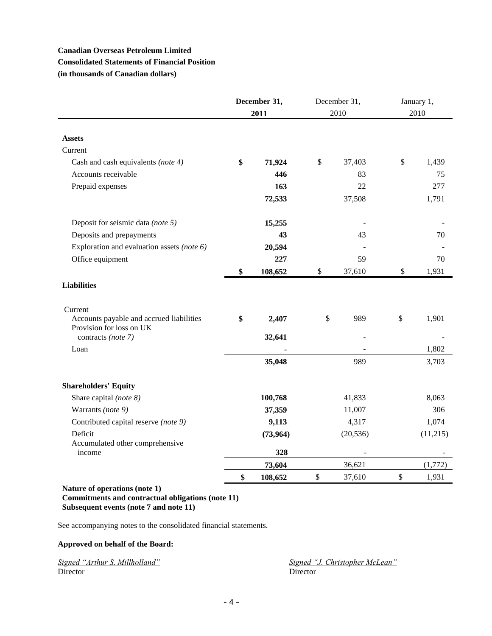# **Canadian Overseas Petroleum Limited Consolidated Statements of Financial Position (in thousands of Canadian dollars)**

|                                                                      | December 31, |           | December 31, |           | January 1,   |          |
|----------------------------------------------------------------------|--------------|-----------|--------------|-----------|--------------|----------|
|                                                                      |              | 2011      | 2010         |           | 2010         |          |
| <b>Assets</b>                                                        |              |           |              |           |              |          |
| Current                                                              |              |           |              |           |              |          |
| Cash and cash equivalents (note 4)                                   | \$           | 71,924    | \$           | 37,403    | \$           | 1,439    |
| Accounts receivable                                                  |              | 446       |              | 83        |              | 75       |
| Prepaid expenses                                                     |              | 163       |              | 22        |              | 277      |
|                                                                      |              | 72,533    |              | 37,508    |              | 1,791    |
| Deposit for seismic data (note 5)                                    |              | 15,255    |              |           |              |          |
| Deposits and prepayments                                             |              | 43        |              | 43        |              | 70       |
| Exploration and evaluation assets (note 6)                           |              | 20,594    |              |           |              |          |
| Office equipment                                                     |              | 227       |              | 59        |              | 70       |
|                                                                      | \$           | 108,652   | \$           | 37,610    | $\mathbb{S}$ | 1,931    |
| <b>Liabilities</b>                                                   |              |           |              |           |              |          |
| Current                                                              |              |           |              |           |              |          |
| Accounts payable and accrued liabilities<br>Provision for loss on UK | \$           | 2,407     | $\mathbb{S}$ | 989       | \$           | 1,901    |
| contracts (note 7)                                                   |              | 32,641    |              |           |              |          |
| Loan                                                                 |              |           |              |           |              | 1,802    |
|                                                                      |              | 35,048    |              | 989       |              | 3,703    |
| <b>Shareholders' Equity</b>                                          |              |           |              |           |              |          |
| Share capital (note 8)                                               |              | 100,768   |              | 41,833    |              | 8,063    |
| Warrants (note 9)                                                    |              | 37,359    |              | 11,007    |              | 306      |
| Contributed capital reserve (note 9)                                 |              | 9,113     |              | 4,317     |              | 1,074    |
| Deficit                                                              |              | (73, 964) |              | (20, 536) |              | (11,215) |
| Accumulated other comprehensive<br>income                            |              | 328       |              |           |              |          |
|                                                                      |              | 73,604    |              | 36,621    |              | (1,772)  |
|                                                                      | \$           | 108,652   | \$           | 37,610    | \$           | 1,931    |

**Nature of operations (note 1) Commitments and contractual obligations (note 11) Subsequent events (note 7 and note 11)**

See accompanying notes to the consolidated financial statements.

# **Approved on behalf of the Board:**

*Signed "Arthur S. Millholland" Signed "J. Christopher McLean"* Director Director Director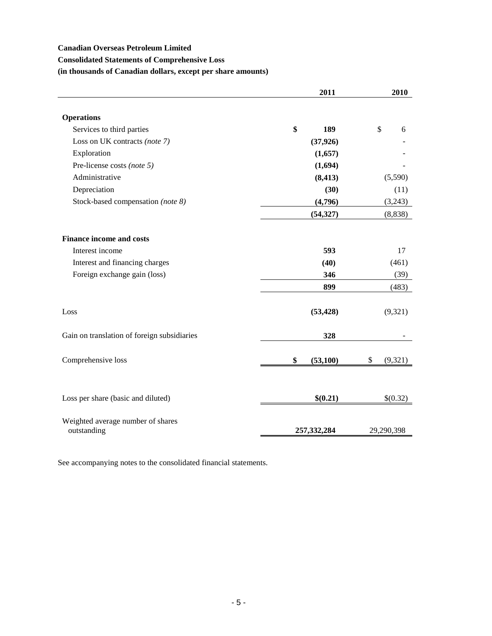# **Canadian Overseas Petroleum Limited**

**Consolidated Statements of Comprehensive Loss**

**(in thousands of Canadian dollars, except per share amounts)**

|                                                  | 2011            | 2010          |
|--------------------------------------------------|-----------------|---------------|
| <b>Operations</b>                                |                 |               |
| Services to third parties                        | \$<br>189       | \$<br>6       |
| Loss on UK contracts (note 7)                    | (37, 926)       |               |
| Exploration                                      | (1,657)         |               |
| Pre-license costs (note 5)                       | (1,694)         |               |
| Administrative                                   | (8, 413)        | (5,590)       |
| Depreciation                                     | (30)            | (11)          |
| Stock-based compensation (note 8)                | (4,796)         | (3,243)       |
|                                                  | (54, 327)       | (8,838)       |
| <b>Finance income and costs</b>                  |                 |               |
| Interest income                                  | 593             | 17            |
| Interest and financing charges                   | (40)            | (461)         |
| Foreign exchange gain (loss)                     | 346             | (39)          |
|                                                  | 899             | (483)         |
| Loss                                             | (53, 428)       | (9,321)       |
| Gain on translation of foreign subsidiaries      | 328             |               |
| Comprehensive loss                               | \$<br>(53, 100) | \$<br>(9,321) |
|                                                  |                 |               |
| Loss per share (basic and diluted)               | \$(0.21)        | \$(0.32)      |
| Weighted average number of shares<br>outstanding | 257, 332, 284   | 29,290,398    |

See accompanying notes to the consolidated financial statements.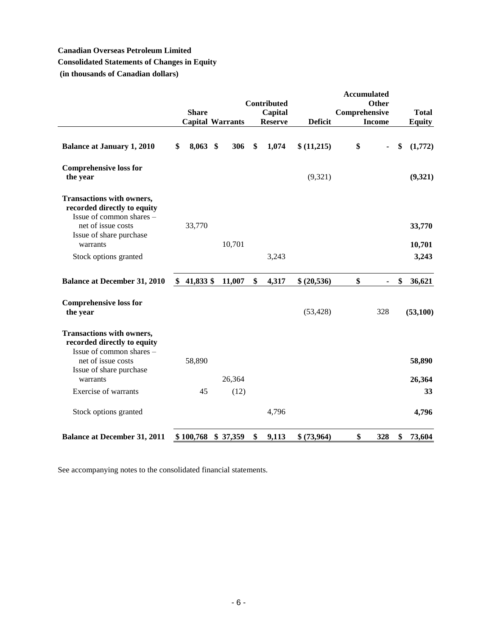# **Canadian Overseas Petroleum Limited**

# **Consolidated Statements of Changes in Equity**

**(in thousands of Canadian dollars)**

|                                                                                                                   | <b>Share</b><br><b>Capital Warrants</b> |        | Contributed<br>Capital<br><b>Reserve</b> | <b>Deficit</b> | Comprehensive | <b>Accumulated</b><br>Other<br><b>Income</b> | <b>Total</b><br><b>Equity</b> |
|-------------------------------------------------------------------------------------------------------------------|-----------------------------------------|--------|------------------------------------------|----------------|---------------|----------------------------------------------|-------------------------------|
| <b>Balance at January 1, 2010</b>                                                                                 | \$<br>8,063 \$                          | 306    | \$<br>1,074                              | \$(11,215)     | \$            |                                              | \$<br>(1,772)                 |
| <b>Comprehensive loss for</b><br>the year                                                                         |                                         |        |                                          | (9,321)        |               |                                              | (9,321)                       |
| <b>Transactions with owners,</b><br>recorded directly to equity<br>Issue of common shares -<br>net of issue costs | 33,770                                  |        |                                          |                |               |                                              | 33,770                        |
| Issue of share purchase<br>warrants                                                                               |                                         | 10,701 |                                          |                |               |                                              | 10,701                        |
| Stock options granted                                                                                             |                                         |        | 3,243                                    |                |               |                                              | 3,243                         |
| <b>Balance at December 31, 2010</b>                                                                               | \$<br>41,833 \$                         | 11,007 | \$<br>4,317                              | \$ (20,536)    | \$            |                                              | \$<br>36,621                  |
| <b>Comprehensive loss for</b><br>the year                                                                         |                                         |        |                                          | (53, 428)      |               | 328                                          | (53, 100)                     |
| <b>Transactions with owners,</b><br>recorded directly to equity<br>Issue of common shares -                       |                                         |        |                                          |                |               |                                              |                               |
| net of issue costs<br>Issue of share purchase                                                                     | 58,890                                  |        |                                          |                |               |                                              | 58,890                        |
| warrants                                                                                                          |                                         | 26,364 |                                          |                |               |                                              | 26,364                        |
| Exercise of warrants                                                                                              | 45                                      | (12)   |                                          |                |               |                                              | 33                            |
| Stock options granted                                                                                             |                                         |        | 4,796                                    |                |               |                                              | 4,796                         |
| <b>Balance at December 31, 2011</b>                                                                               | \$100,768 \$37,359                      |        | \$<br>9,113                              | \$ (73,964)    | \$            | 328                                          | \$<br>73,604                  |

See accompanying notes to the consolidated financial statements.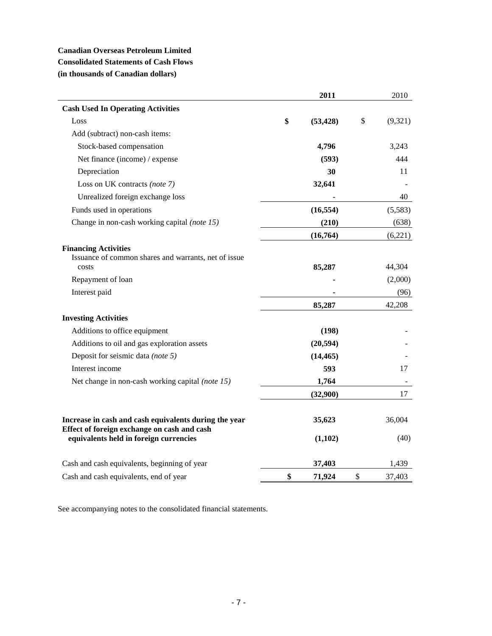# **Canadian Overseas Petroleum Limited Consolidated Statements of Cash Flows (in thousands of Canadian dollars)**

|                                                                                                      | 2011            | 2010          |
|------------------------------------------------------------------------------------------------------|-----------------|---------------|
| <b>Cash Used In Operating Activities</b>                                                             |                 |               |
| Loss                                                                                                 | \$<br>(53, 428) | \$<br>(9,321) |
| Add (subtract) non-cash items:                                                                       |                 |               |
| Stock-based compensation                                                                             | 4,796           | 3,243         |
| Net finance (income) / expense                                                                       | (593)           | 444           |
| Depreciation                                                                                         | 30              | 11            |
| Loss on UK contracts (note 7)                                                                        | 32,641          |               |
| Unrealized foreign exchange loss                                                                     |                 | 40            |
| Funds used in operations                                                                             | (16, 554)       | (5,583)       |
| Change in non-cash working capital (note 15)                                                         | (210)           | (638)         |
|                                                                                                      | (16,764)        | (6,221)       |
| <b>Financing Activities</b><br>Issuance of common shares and warrants, net of issue                  |                 |               |
| costs                                                                                                | 85,287          | 44,304        |
| Repayment of loan                                                                                    |                 | (2,000)       |
| Interest paid                                                                                        |                 | (96)          |
|                                                                                                      | 85,287          | 42,208        |
| <b>Investing Activities</b>                                                                          |                 |               |
| Additions to office equipment                                                                        | (198)           |               |
| Additions to oil and gas exploration assets                                                          | (20, 594)       |               |
| Deposit for seismic data (note 5)                                                                    | (14, 465)       |               |
| Interest income                                                                                      | 593             | 17            |
| Net change in non-cash working capital (note 15)                                                     | 1,764           |               |
|                                                                                                      | (32,900)        | 17            |
| Increase in cash and cash equivalents during the year<br>Effect of foreign exchange on cash and cash | 35,623          | 36,004        |
| equivalents held in foreign currencies                                                               | (1,102)         | (40)          |
| Cash and cash equivalents, beginning of year                                                         | 37,403          | 1,439         |
| Cash and cash equivalents, end of year                                                               | \$<br>71,924    | \$<br>37,403  |

See accompanying notes to the consolidated financial statements.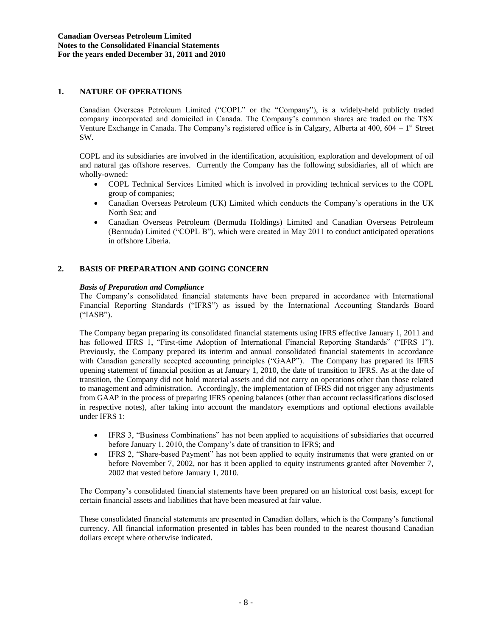# **1. NATURE OF OPERATIONS**

Canadian Overseas Petroleum Limited ("COPL" or the "Company"), is a widely-held publicly traded company incorporated and domiciled in Canada. The Company's common shares are traded on the TSX Venture Exchange in Canada. The Company's registered office is in Calgary, Alberta at 400, 604 –  $1<sup>st</sup>$  Street SW.

COPL and its subsidiaries are involved in the identification, acquisition, exploration and development of oil and natural gas offshore reserves. Currently the Company has the following subsidiaries, all of which are wholly-owned:

- COPL Technical Services Limited which is involved in providing technical services to the COPL group of companies;
- Canadian Overseas Petroleum (UK) Limited which conducts the Company's operations in the UK North Sea; and
- Canadian Overseas Petroleum (Bermuda Holdings) Limited and Canadian Overseas Petroleum (Bermuda) Limited ("COPL B"), which were created in May 2011 to conduct anticipated operations in offshore Liberia.

# **2. BASIS OF PREPARATION AND GOING CONCERN**

### *Basis of Preparation and Compliance*

The Company's consolidated financial statements have been prepared in accordance with International Financial Reporting Standards ("IFRS") as issued by the International Accounting Standards Board ("IASB").

The Company began preparing its consolidated financial statements using IFRS effective January 1, 2011 and has followed IFRS 1, "First-time Adoption of International Financial Reporting Standards" ("IFRS 1"). Previously, the Company prepared its interim and annual consolidated financial statements in accordance with Canadian generally accepted accounting principles ("GAAP"). The Company has prepared its IFRS opening statement of financial position as at January 1, 2010, the date of transition to IFRS. As at the date of transition, the Company did not hold material assets and did not carry on operations other than those related to management and administration. Accordingly, the implementation of IFRS did not trigger any adjustments from GAAP in the process of preparing IFRS opening balances (other than account reclassifications disclosed in respective notes), after taking into account the mandatory exemptions and optional elections available under IFRS 1:

- IFRS 3, "Business Combinations" has not been applied to acquisitions of subsidiaries that occurred before January 1, 2010, the Company's date of transition to IFRS; and
- IFRS 2, "Share-based Payment" has not been applied to equity instruments that were granted on or before November 7, 2002, nor has it been applied to equity instruments granted after November 7, 2002 that vested before January 1, 2010.

The Company's consolidated financial statements have been prepared on an historical cost basis, except for certain financial assets and liabilities that have been measured at fair value.

These consolidated financial statements are presented in Canadian dollars, which is the Company's functional currency. All financial information presented in tables has been rounded to the nearest thousand Canadian dollars except where otherwise indicated.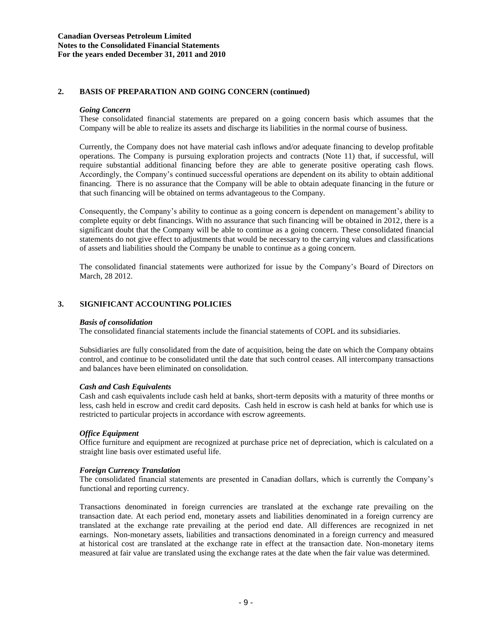# **2. BASIS OF PREPARATION AND GOING CONCERN (continued)**

#### *Going Concern*

These consolidated financial statements are prepared on a going concern basis which assumes that the Company will be able to realize its assets and discharge its liabilities in the normal course of business.

Currently, the Company does not have material cash inflows and/or adequate financing to develop profitable operations. The Company is pursuing exploration projects and contracts (Note 11) that, if successful, will require substantial additional financing before they are able to generate positive operating cash flows. Accordingly, the Company's continued successful operations are dependent on its ability to obtain additional financing. There is no assurance that the Company will be able to obtain adequate financing in the future or that such financing will be obtained on terms advantageous to the Company.

Consequently, the Company's ability to continue as a going concern is dependent on management's ability to complete equity or debt financings. With no assurance that such financing will be obtained in 2012, there is a significant doubt that the Company will be able to continue as a going concern. These consolidated financial statements do not give effect to adjustments that would be necessary to the carrying values and classifications of assets and liabilities should the Company be unable to continue as a going concern.

The consolidated financial statements were authorized for issue by the Company's Board of Directors on March, 28 2012.

### **3. SIGNIFICANT ACCOUNTING POLICIES**

#### *Basis of consolidation*

The consolidated financial statements include the financial statements of COPL and its subsidiaries.

Subsidiaries are fully consolidated from the date of acquisition, being the date on which the Company obtains control, and continue to be consolidated until the date that such control ceases. All intercompany transactions and balances have been eliminated on consolidation.

#### *Cash and Cash Equivalents*

Cash and cash equivalents include cash held at banks, short-term deposits with a maturity of three months or less, cash held in escrow and credit card deposits. Cash held in escrow is cash held at banks for which use is restricted to particular projects in accordance with escrow agreements.

### *Office Equipment*

Office furniture and equipment are recognized at purchase price net of depreciation, which is calculated on a straight line basis over estimated useful life.

### *Foreign Currency Translation*

The consolidated financial statements are presented in Canadian dollars, which is currently the Company's functional and reporting currency.

Transactions denominated in foreign currencies are translated at the exchange rate prevailing on the transaction date. At each period end, monetary assets and liabilities denominated in a foreign currency are translated at the exchange rate prevailing at the period end date. All differences are recognized in net earnings. Non-monetary assets, liabilities and transactions denominated in a foreign currency and measured at historical cost are translated at the exchange rate in effect at the transaction date. Non-monetary items measured at fair value are translated using the exchange rates at the date when the fair value was determined.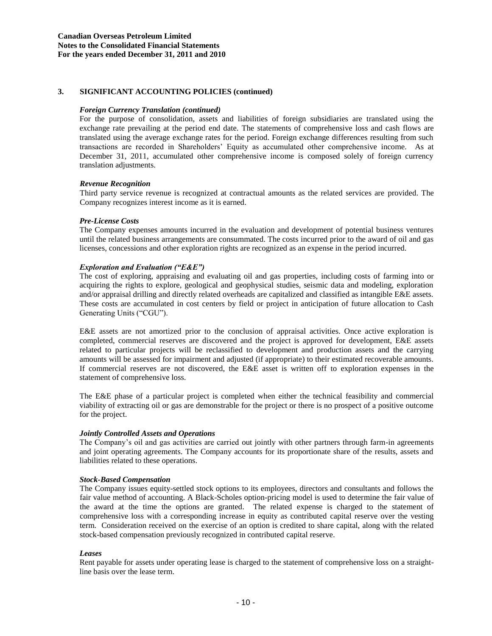# **3. SIGNIFICANT ACCOUNTING POLICIES (continued)**

### *Foreign Currency Translation (continued)*

For the purpose of consolidation, assets and liabilities of foreign subsidiaries are translated using the exchange rate prevailing at the period end date. The statements of comprehensive loss and cash flows are translated using the average exchange rates for the period. Foreign exchange differences resulting from such transactions are recorded in Shareholders' Equity as accumulated other comprehensive income. As at December 31, 2011, accumulated other comprehensive income is composed solely of foreign currency translation adjustments.

### *Revenue Recognition*

Third party service revenue is recognized at contractual amounts as the related services are provided. The Company recognizes interest income as it is earned.

### *Pre-License Costs*

The Company expenses amounts incurred in the evaluation and development of potential business ventures until the related business arrangements are consummated. The costs incurred prior to the award of oil and gas licenses, concessions and other exploration rights are recognized as an expense in the period incurred.

### *Exploration and Evaluation ("E&E")*

The cost of exploring, appraising and evaluating oil and gas properties, including costs of farming into or acquiring the rights to explore, geological and geophysical studies, seismic data and modeling, exploration and/or appraisal drilling and directly related overheads are capitalized and classified as intangible E&E assets. These costs are accumulated in cost centers by field or project in anticipation of future allocation to Cash Generating Units ("CGU").

E&E assets are not amortized prior to the conclusion of appraisal activities. Once active exploration is completed, commercial reserves are discovered and the project is approved for development, E&E assets related to particular projects will be reclassified to development and production assets and the carrying amounts will be assessed for impairment and adjusted (if appropriate) to their estimated recoverable amounts. If commercial reserves are not discovered, the E&E asset is written off to exploration expenses in the statement of comprehensive loss.

The E&E phase of a particular project is completed when either the technical feasibility and commercial viability of extracting oil or gas are demonstrable for the project or there is no prospect of a positive outcome for the project.

### *Jointly Controlled Assets and Operations*

The Company's oil and gas activities are carried out jointly with other partners through farm-in agreements and joint operating agreements. The Company accounts for its proportionate share of the results, assets and liabilities related to these operations.

### *Stock-Based Compensation*

The Company issues equity-settled stock options to its employees, directors and consultants and follows the fair value method of accounting. A Black-Scholes option-pricing model is used to determine the fair value of the award at the time the options are granted. The related expense is charged to the statement of comprehensive loss with a corresponding increase in equity as contributed capital reserve over the vesting term. Consideration received on the exercise of an option is credited to share capital, along with the related stock-based compensation previously recognized in contributed capital reserve.

### *Leases*

Rent payable for assets under operating lease is charged to the statement of comprehensive loss on a straightline basis over the lease term.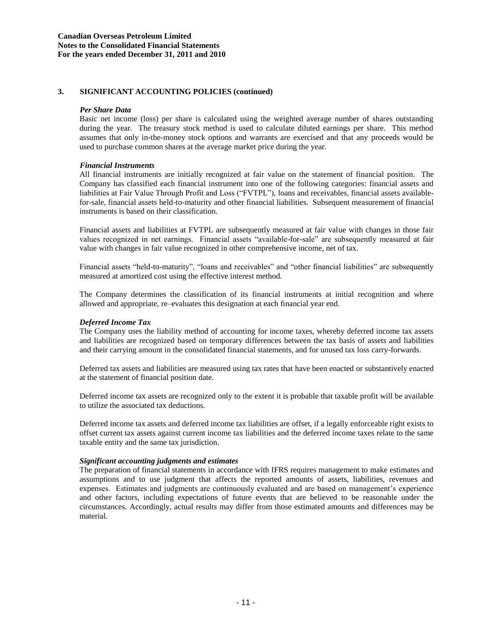# **3. SIGNIFICANT ACCOUNTING POLICIES (continued)**

# *Per Share Data*

Basic net income (loss) per share is calculated using the weighted average number of shares outstanding during the year. The treasury stock method is used to calculate diluted earnings per share. This method assumes that only in-the-money stock options and warrants are exercised and that any proceeds would be used to purchase common shares at the average market price during the year.

# *Financial Instruments*

All financial instruments are initially recognized at fair value on the statement of financial position. The Company has classified each financial instrument into one of the following categories: financial assets and liabilities at Fair Value Through Profit and Loss ("FVTPL"), loans and receivables, financial assets availablefor-sale, financial assets held-to-maturity and other financial liabilities. Subsequent measurement of financial instruments is based on their classification.

Financial assets and liabilities at FVTPL are subsequently measured at fair value with changes in those fair values recognized in net earnings. Financial assets "available-for-sale" are subsequently measured at fair value with changes in fair value recognized in other comprehensive income, net of tax.

Financial assets "held-to-maturity", "loans and receivables" and "other financial liabilities" are subsequently measured at amortized cost using the effective interest method.

The Company determines the classification of its financial instruments at initial recognition and where allowed and appropriate, re–evaluates this designation at each financial year end.

# *Deferred Income Tax*

The Company uses the liability method of accounting for income taxes, whereby deferred income tax assets and liabilities are recognized based on temporary differences between the tax basis of assets and liabilities and their carrying amount in the consolidated financial statements, and for unused tax loss carry-forwards.

Deferred tax assets and liabilities are measured using tax rates that have been enacted or substantively enacted at the statement of financial position date.

Deferred income tax assets are recognized only to the extent it is probable that taxable profit will be available to utilize the associated tax deductions.

Deferred income tax assets and deferred income tax liabilities are offset, if a legally enforceable right exists to offset current tax assets against current income tax liabilities and the deferred income taxes relate to the same taxable entity and the same tax jurisdiction.

### *Significant accounting judgments and estimates*

The preparation of financial statements in accordance with IFRS requires management to make estimates and assumptions and to use judgment that affects the reported amounts of assets, liabilities, revenues and expenses. Estimates and judgments are continuously evaluated and are based on management's experience and other factors, including expectations of future events that are believed to be reasonable under the circumstances. Accordingly, actual results may differ from those estimated amounts and differences may be material.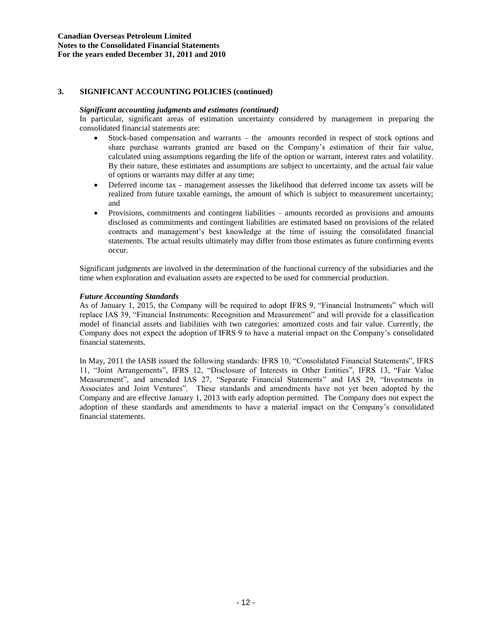# **3. SIGNIFICANT ACCOUNTING POLICIES (continued)**

### *Significant accounting judgments and estimates (continued)*

In particular, significant areas of estimation uncertainty considered by management in preparing the consolidated financial statements are:

- Stock-based compensation and warrants the amounts recorded in respect of stock options and share purchase warrants granted are based on the Company's estimation of their fair value, calculated using assumptions regarding the life of the option or warrant, interest rates and volatility. By their nature, these estimates and assumptions are subject to uncertainty, and the actual fair value of options or warrants may differ at any time;
- Deferred income tax management assesses the likelihood that deferred income tax assets will be realized from future taxable earnings, the amount of which is subject to measurement uncertainty; and
- Provisions, commitments and contingent liabilities amounts recorded as provisions and amounts disclosed as commitments and contingent liabilities are estimated based on provisions of the related contracts and management's best knowledge at the time of issuing the consolidated financial statements. The actual results ultimately may differ from those estimates as future confirming events occur.

Significant judgments are involved in the determination of the functional currency of the subsidiaries and the time when exploration and evaluation assets are expected to be used for commercial production.

### *Future Accounting Standards*

As of January 1, 2015, the Company will be required to adopt IFRS 9, "Financial Instruments" which will replace IAS 39, "Financial Instruments: Recognition and Measurement" and will provide for a classification model of financial assets and liabilities with two categories: amortized costs and fair value. Currently, the Company does not expect the adoption of IFRS 9 to have a material impact on the Company's consolidated financial statements.

In May, 2011 the IASB issued the following standards: IFRS 10, "Consolidated Financial Statements", IFRS 11, "Joint Arrangements", IFRS 12, "Disclosure of Interests in Other Entities", IFRS 13, "Fair Value Measurement", and amended IAS 27, "Separate Financial Statements" and IAS 29, "Investments in Associates and Joint Ventures". These standards and amendments have not yet been adopted by the Company and are effective January 1, 2013 with early adoption permitted. The Company does not expect the adoption of these standards and amendments to have a material impact on the Company's consolidated financial statements.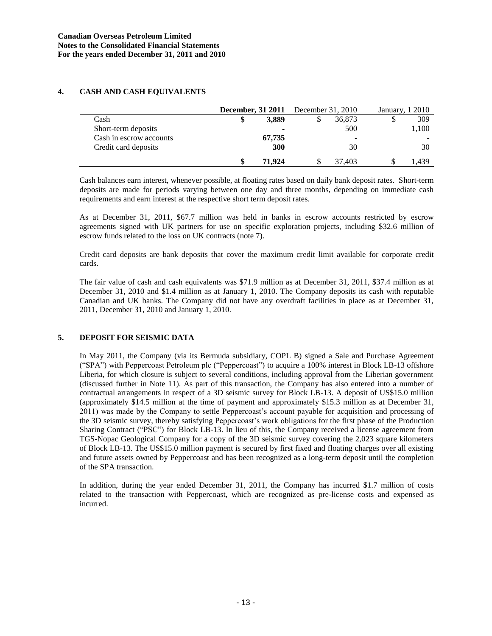# **4. CASH AND CASH EQUIVALENTS**

|                         |        | <b>December, 31 2011</b> December 31, 2010 |        | January, 1 2010 |
|-------------------------|--------|--------------------------------------------|--------|-----------------|
| Cash                    | 3.889  | \$                                         | 36,873 | 309             |
| Short-term deposits     |        |                                            | 500    | 1,100           |
| Cash in escrow accounts | 67,735 |                                            |        |                 |
| Credit card deposits    | 300    |                                            | 30     | 30              |
|                         | 71.924 | J                                          | 37.403 | l.439           |

Cash balances earn interest, whenever possible, at floating rates based on daily bank deposit rates. Short-term deposits are made for periods varying between one day and three months, depending on immediate cash requirements and earn interest at the respective short term deposit rates.

As at December 31, 2011, \$67.7 million was held in banks in escrow accounts restricted by escrow agreements signed with UK partners for use on specific exploration projects, including \$32.6 million of escrow funds related to the loss on UK contracts (note 7).

Credit card deposits are bank deposits that cover the maximum credit limit available for corporate credit cards.

The fair value of cash and cash equivalents was \$71.9 million as at December 31, 2011, \$37.4 million as at December 31, 2010 and \$1.4 million as at January 1, 2010. The Company deposits its cash with reputable Canadian and UK banks. The Company did not have any overdraft facilities in place as at December 31, 2011, December 31, 2010 and January 1, 2010.

# **5. DEPOSIT FOR SEISMIC DATA**

In May 2011, the Company (via its Bermuda subsidiary, COPL B) signed a Sale and Purchase Agreement ("SPA") with Peppercoast Petroleum plc ("Peppercoast") to acquire a 100% interest in Block LB-13 offshore Liberia, for which closure is subject to several conditions, including approval from the Liberian government (discussed further in Note 11). As part of this transaction, the Company has also entered into a number of contractual arrangements in respect of a 3D seismic survey for Block LB-13. A deposit of US\$15.0 million (approximately \$14.5 million at the time of payment and approximately \$15.3 million as at December 31, 2011) was made by the Company to settle Peppercoast's account payable for acquisition and processing of the 3D seismic survey, thereby satisfying Peppercoast's work obligations for the first phase of the Production Sharing Contract ("PSC") for Block LB-13. In lieu of this, the Company received a license agreement from TGS-Nopac Geological Company for a copy of the 3D seismic survey covering the 2,023 square kilometers of Block LB-13. The US\$15.0 million payment is secured by first fixed and floating charges over all existing and future assets owned by Peppercoast and has been recognized as a long-term deposit until the completion of the SPA transaction.

In addition, during the year ended December 31, 2011, the Company has incurred \$1.7 million of costs related to the transaction with Peppercoast, which are recognized as pre-license costs and expensed as incurred.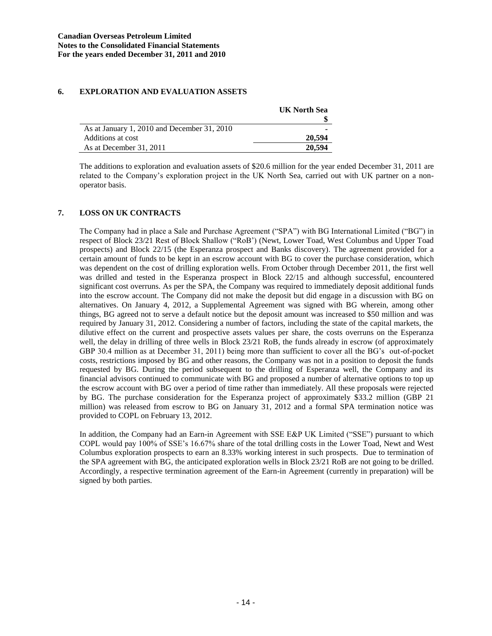# **6. EXPLORATION AND EVALUATION ASSETS**

|                                             | <b>UK North Sea</b> |
|---------------------------------------------|---------------------|
|                                             |                     |
| As at January 1, 2010 and December 31, 2010 |                     |
| Additions at cost                           | 20,594              |
| As at December 31, 2011                     | 20,594              |

The additions to exploration and evaluation assets of \$20.6 million for the year ended December 31, 2011 are related to the Company's exploration project in the UK North Sea, carried out with UK partner on a nonoperator basis.

# **7. LOSS ON UK CONTRACTS**

The Company had in place a Sale and Purchase Agreement ("SPA") with BG International Limited ("BG") in respect of Block 23/21 Rest of Block Shallow ("RoB') (Newt, Lower Toad, West Columbus and Upper Toad prospects) and Block 22/15 (the Esperanza prospect and Banks discovery). The agreement provided for a certain amount of funds to be kept in an escrow account with BG to cover the purchase consideration, which was dependent on the cost of drilling exploration wells. From October through December 2011, the first well was drilled and tested in the Esperanza prospect in Block 22/15 and although successful, encountered significant cost overruns. As per the SPA, the Company was required to immediately deposit additional funds into the escrow account. The Company did not make the deposit but did engage in a discussion with BG on alternatives. On January 4, 2012, a Supplemental Agreement was signed with BG wherein, among other things, BG agreed not to serve a default notice but the deposit amount was increased to \$50 million and was required by January 31, 2012. Considering a number of factors, including the state of the capital markets, the dilutive effect on the current and prospective assets values per share, the costs overruns on the Esperanza well, the delay in drilling of three wells in Block 23/21 RoB, the funds already in escrow (of approximately GBP 30.4 million as at December 31, 2011) being more than sufficient to cover all the BG's out-of-pocket costs, restrictions imposed by BG and other reasons, the Company was not in a position to deposit the funds requested by BG. During the period subsequent to the drilling of Esperanza well, the Company and its financial advisors continued to communicate with BG and proposed a number of alternative options to top up the escrow account with BG over a period of time rather than immediately. All these proposals were rejected by BG. The purchase consideration for the Esperanza project of approximately \$33.2 million (GBP 21 million) was released from escrow to BG on January 31, 2012 and a formal SPA termination notice was provided to COPL on February 13, 2012.

In addition, the Company had an Earn-in Agreement with SSE E&P UK Limited ("SSE") pursuant to which COPL would pay 100% of SSE's 16.67% share of the total drilling costs in the Lower Toad, Newt and West Columbus exploration prospects to earn an 8.33% working interest in such prospects. Due to termination of the SPA agreement with BG, the anticipated exploration wells in Block 23/21 RoB are not going to be drilled. Accordingly, a respective termination agreement of the Earn-in Agreement (currently in preparation) will be signed by both parties.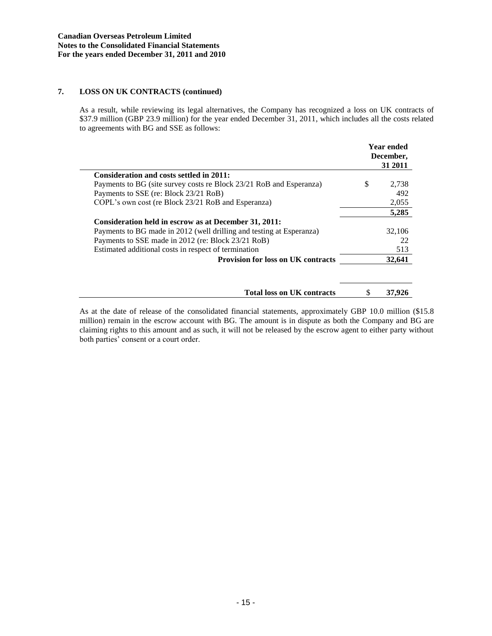# **7. LOSS ON UK CONTRACTS (continued)**

As a result, while reviewing its legal alternatives, the Company has recognized a loss on UK contracts of \$37.9 million (GBP 23.9 million) for the year ended December 31, 2011, which includes all the costs related to agreements with BG and SSE as follows:

|                                                                      |   | Year ended<br>December,<br>31 2011 |
|----------------------------------------------------------------------|---|------------------------------------|
| Consideration and costs settled in 2011:                             |   |                                    |
| Payments to BG (site survey costs re Block 23/21 RoB and Esperanza)  | S | 2,738                              |
| Payments to SSE (re: Block 23/21 RoB)                                |   | 492                                |
| COPL's own cost (re Block 23/21 RoB and Esperanza)                   |   | 2,055                              |
|                                                                      |   | 5,285                              |
| Consideration held in escrow as at December 31, 2011:                |   |                                    |
| Payments to BG made in 2012 (well drilling and testing at Esperanza) |   | 32,106                             |
| Payments to SSE made in 2012 (re: Block 23/21 RoB)                   |   | 22                                 |
| Estimated additional costs in respect of termination                 |   | 513                                |
| <b>Provision for loss on UK contracts</b>                            |   | 32,641                             |
|                                                                      |   |                                    |
| <b>Total loss on UK contracts</b>                                    | S | 37.926                             |

As at the date of release of the consolidated financial statements, approximately GBP 10.0 million (\$15.8 million) remain in the escrow account with BG. The amount is in dispute as both the Company and BG are claiming rights to this amount and as such, it will not be released by the escrow agent to either party without both parties' consent or a court order.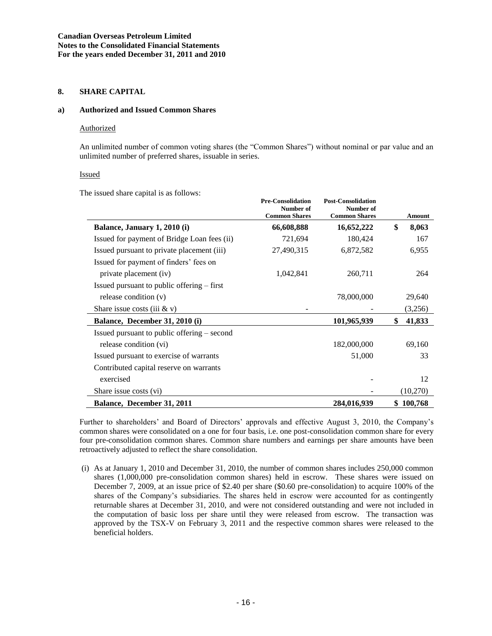### **8. SHARE CAPITAL**

### **a) Authorized and Issued Common Shares**

#### Authorized

An unlimited number of common voting shares (the "Common Shares") without nominal or par value and an unlimited number of preferred shares, issuable in series.

#### Issued

The issued share capital is as follows:

|                                             | <b>Pre-Consolidation</b><br>Number of<br><b>Common Shares</b> | <b>Post-Consolidation</b><br>Number of<br><b>Common Shares</b> | Amount        |
|---------------------------------------------|---------------------------------------------------------------|----------------------------------------------------------------|---------------|
| Balance, January 1, 2010 (i)                | 66,608,888                                                    | 16,652,222                                                     | \$<br>8,063   |
| Issued for payment of Bridge Loan fees (ii) | 721,694                                                       | 180,424                                                        | 167           |
| Issued pursuant to private placement (iii)  | 27,490,315                                                    | 6,872,582                                                      | 6,955         |
| Issued for payment of finders' fees on      |                                                               |                                                                |               |
| private placement (iv)                      | 1,042,841                                                     | 260,711                                                        | 264           |
| Issued pursuant to public offering – first  |                                                               |                                                                |               |
| release condition (v)                       |                                                               | 78,000,000                                                     | 29,640        |
| Share issue costs (iii $&\mathbf{v})$       |                                                               |                                                                | (3,256)       |
| Balance, December 31, 2010 (i)              |                                                               | 101,965,939                                                    | \$<br>41,833  |
| Issued pursuant to public offering – second |                                                               |                                                                |               |
| release condition (vi)                      |                                                               | 182,000,000                                                    | 69,160        |
| Issued pursuant to exercise of warrants     |                                                               | 51,000                                                         | 33            |
| Contributed capital reserve on warrants     |                                                               |                                                                |               |
| exercised                                   |                                                               |                                                                | 12            |
| Share issue costs (vi)                      |                                                               |                                                                | (10,270)      |
| Balance, December 31, 2011                  |                                                               | 284,016,939                                                    | \$<br>100,768 |

Further to shareholders' and Board of Directors' approvals and effective August 3, 2010, the Company's common shares were consolidated on a one for four basis, i.e. one post-consolidation common share for every four pre-consolidation common shares. Common share numbers and earnings per share amounts have been retroactively adjusted to reflect the share consolidation.

(i) As at January 1, 2010 and December 31, 2010, the number of common shares includes 250,000 common shares (1,000,000 pre-consolidation common shares) held in escrow. These shares were issued on December 7, 2009, at an issue price of \$2.40 per share (\$0.60 pre-consolidation) to acquire 100% of the shares of the Company's subsidiaries. The shares held in escrow were accounted for as contingently returnable shares at December 31, 2010, and were not considered outstanding and were not included in the computation of basic loss per share until they were released from escrow. The transaction was approved by the TSX-V on February 3, 2011 and the respective common shares were released to the beneficial holders.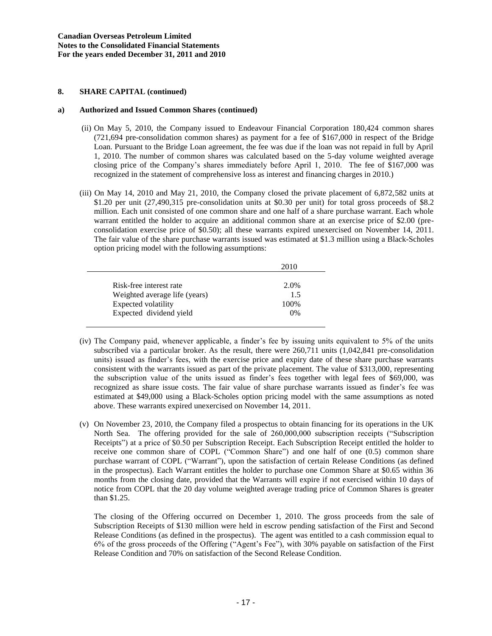### **a) Authorized and Issued Common Shares (continued)**

- (ii) On May 5, 2010, the Company issued to Endeavour Financial Corporation 180,424 common shares (721,694 pre-consolidation common shares) as payment for a fee of \$167,000 in respect of the Bridge Loan. Pursuant to the Bridge Loan agreement, the fee was due if the loan was not repaid in full by April 1, 2010. The number of common shares was calculated based on the 5-day volume weighted average closing price of the Company's shares immediately before April 1, 2010. The fee of \$167,000 was recognized in the statement of comprehensive loss as interest and financing charges in 2010.)
- (iii) On May 14, 2010 and May 21, 2010, the Company closed the private placement of 6,872,582 units at \$1.20 per unit (27,490,315 pre-consolidation units at \$0.30 per unit) for total gross proceeds of \$8.2 million. Each unit consisted of one common share and one half of a share purchase warrant. Each whole warrant entitled the holder to acquire an additional common share at an exercise price of \$2.00 (preconsolidation exercise price of \$0.50); all these warrants expired unexercised on November 14, 2011. The fair value of the share purchase warrants issued was estimated at \$1.3 million using a Black-Scholes option pricing model with the following assumptions:

|                               | 2010 |
|-------------------------------|------|
|                               |      |
| Risk-free interest rate       | 2.0% |
| Weighted average life (years) | 1.5  |
| Expected volatility           | 100% |
| Expected dividend yield       | 0%   |

- (iv) The Company paid, whenever applicable, a finder's fee by issuing units equivalent to 5% of the units subscribed via a particular broker. As the result, there were 260,711 units (1,042,841 pre-consolidation units) issued as finder's fees, with the exercise price and expiry date of these share purchase warrants consistent with the warrants issued as part of the private placement. The value of \$313,000, representing the subscription value of the units issued as finder's fees together with legal fees of \$69,000, was recognized as share issue costs. The fair value of share purchase warrants issued as finder's fee was estimated at \$49,000 using a Black-Scholes option pricing model with the same assumptions as noted above. These warrants expired unexercised on November 14, 2011.
- (v) On November 23, 2010, the Company filed a prospectus to obtain financing for its operations in the UK North Sea. The offering provided for the sale of 260,000,000 subscription receipts ("Subscription Receipts") at a price of \$0.50 per Subscription Receipt. Each Subscription Receipt entitled the holder to receive one common share of COPL ("Common Share") and one half of one (0.5) common share purchase warrant of COPL ("Warrant"), upon the satisfaction of certain Release Conditions (as defined in the prospectus). Each Warrant entitles the holder to purchase one Common Share at \$0.65 within 36 months from the closing date, provided that the Warrants will expire if not exercised within 10 days of notice from COPL that the 20 day volume weighted average trading price of Common Shares is greater than \$1.25.

The closing of the Offering occurred on December 1, 2010. The gross proceeds from the sale of Subscription Receipts of \$130 million were held in escrow pending satisfaction of the First and Second Release Conditions (as defined in the prospectus). The agent was entitled to a cash commission equal to 6% of the gross proceeds of the Offering ("Agent's Fee"), with 30% payable on satisfaction of the First Release Condition and 70% on satisfaction of the Second Release Condition.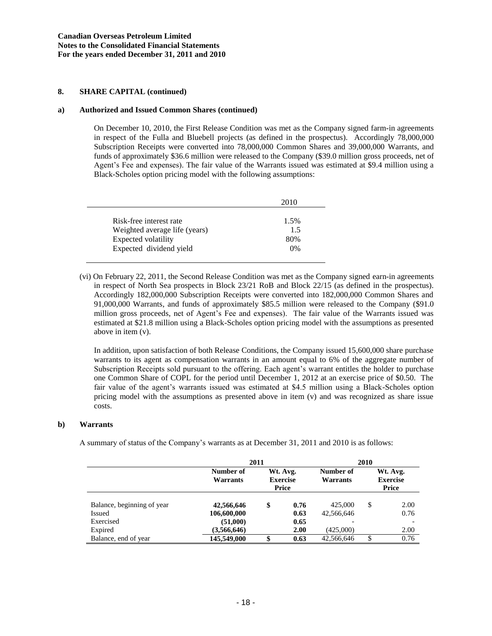### **a) Authorized and Issued Common Shares (continued)**

On December 10, 2010, the First Release Condition was met as the Company signed farm-in agreements in respect of the Fulla and Bluebell projects (as defined in the prospectus). Accordingly 78,000,000 Subscription Receipts were converted into 78,000,000 Common Shares and 39,000,000 Warrants, and funds of approximately \$36.6 million were released to the Company (\$39.0 million gross proceeds, net of Agent's Fee and expenses). The fair value of the Warrants issued was estimated at \$9.4 million using a Black-Scholes option pricing model with the following assumptions:

|                               | 2010 |
|-------------------------------|------|
| Risk-free interest rate       | 1.5% |
| Weighted average life (years) | 1.5  |
| Expected volatility           | 80%  |
| Expected dividend yield       | 0%   |

(vi) On February 22, 2011, the Second Release Condition was met as the Company signed earn-in agreements in respect of North Sea prospects in Block 23/21 RoB and Block 22/15 (as defined in the prospectus). Accordingly 182,000,000 Subscription Receipts were converted into 182,000,000 Common Shares and 91,000,000 Warrants, and funds of approximately \$85.5 million were released to the Company (\$91.0 million gross proceeds, net of Agent's Fee and expenses). The fair value of the Warrants issued was estimated at \$21.8 million using a Black-Scholes option pricing model with the assumptions as presented above in item (v).

In addition, upon satisfaction of both Release Conditions, the Company issued 15,600,000 share purchase warrants to its agent as compensation warrants in an amount equal to 6% of the aggregate number of Subscription Receipts sold pursuant to the offering. Each agent's warrant entitles the holder to purchase one Common Share of COPL for the period until December 1, 2012 at an exercise price of \$0.50. The fair value of the agent's warrants issued was estimated at \$4.5 million using a Black-Scholes option pricing model with the assumptions as presented above in item (v) and was recognized as share issue costs.

### **b) Warrants**

A summary of status of the Company's warrants as at December 31, 2011 and 2010 is as follows:

|                            | 2011                  |                                      |      | 2010                         |    |                                      |
|----------------------------|-----------------------|--------------------------------------|------|------------------------------|----|--------------------------------------|
|                            | Number of<br>Warrants | Wt. Avg.<br><b>Exercise</b><br>Price |      | Number of<br><b>Warrants</b> |    | Wt. Avg.<br><b>Exercise</b><br>Price |
| Balance, beginning of year | 42,566,646            | \$                                   | 0.76 | 425,000                      | \$ | 2.00                                 |
| Issued                     | 106,600,000           |                                      | 0.63 | 42,566,646                   |    | 0.76                                 |
| Exercised                  | (51,000)              |                                      | 0.65 |                              |    |                                      |
| Expired                    | (3,566,646)           |                                      | 2.00 | (425,000)                    |    | 2.00                                 |
| Balance, end of year       | 145,549,000           | ¢                                    | 0.63 | 42,566,646                   | \$ | 0.76                                 |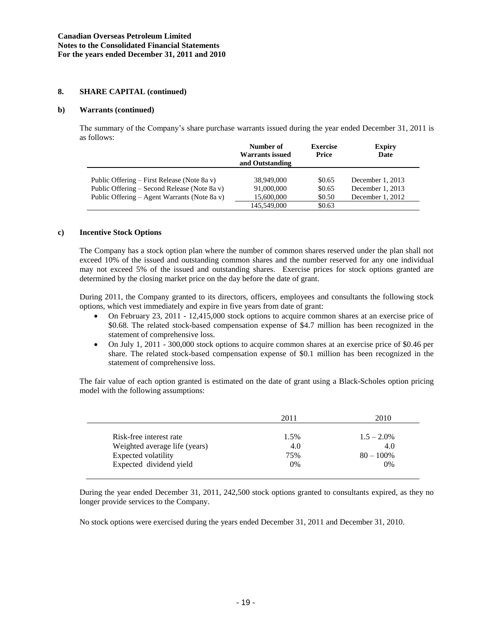### **b) Warrants (continued)**

The summary of the Company's share purchase warrants issued during the year ended December 31, 2011 is as follows:

|                                              | Number of<br><b>Warrants issued</b><br>and Outstanding | <b>Exercise</b><br>Price | <b>Expiry</b><br>Date |
|----------------------------------------------|--------------------------------------------------------|--------------------------|-----------------------|
| Public Offering – First Release (Note 8a v)  | 38,949,000                                             | \$0.65                   | December $1, 2013$    |
| Public Offering – Second Release (Note 8a v) | 91,000,000                                             | \$0.65                   | December 1, 2013      |
| Public Offering – Agent Warrants (Note 8a v) | 15,600,000                                             | \$0.50                   | December $1, 2012$    |
|                                              | 145,549,000                                            | \$0.63                   |                       |

### **c) Incentive Stock Options**

The Company has a stock option plan where the number of common shares reserved under the plan shall not exceed 10% of the issued and outstanding common shares and the number reserved for any one individual may not exceed 5% of the issued and outstanding shares. Exercise prices for stock options granted are determined by the closing market price on the day before the date of grant.

During 2011, the Company granted to its directors, officers, employees and consultants the following stock options, which vest immediately and expire in five years from date of grant:

- On February 23, 2011 12,415,000 stock options to acquire common shares at an exercise price of \$0.68. The related stock-based compensation expense of \$4.7 million has been recognized in the statement of comprehensive loss.
- On July 1, 2011 300,000 stock options to acquire common shares at an exercise price of \$0.46 per share. The related stock-based compensation expense of \$0.1 million has been recognized in the statement of comprehensive loss.

The fair value of each option granted is estimated on the date of grant using a Black-Scholes option pricing model with the following assumptions:

|                               | 2011  | 2010          |
|-------------------------------|-------|---------------|
| Risk-free interest rate       | 1.5%  | $1.5 - 2.0\%$ |
| Weighted average life (years) | 4.0   | 4.0           |
| Expected volatility           | 75%   | $80 - 100\%$  |
| Expected dividend yield       | $0\%$ | 0%            |

During the year ended December 31, 2011, 242,500 stock options granted to consultants expired, as they no longer provide services to the Company.

No stock options were exercised during the years ended December 31, 2011 and December 31, 2010.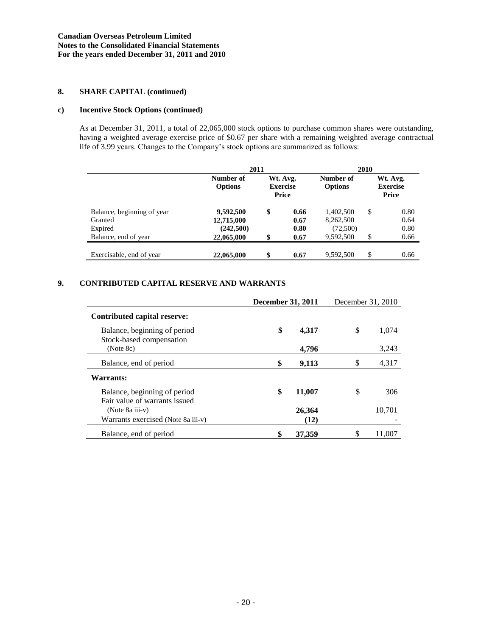# **c) Incentive Stock Options (continued)**

As at December 31, 2011, a total of 22,065,000 stock options to purchase common shares were outstanding, having a weighted average exercise price of \$0.67 per share with a remaining weighted average contractual life of 3.99 years. Changes to the Company's stock options are summarized as follows:

|                                                  | 2011                                                                |    |                             | 2010                               |                                      |                      |
|--------------------------------------------------|---------------------------------------------------------------------|----|-----------------------------|------------------------------------|--------------------------------------|----------------------|
|                                                  | Number of<br>Wt. Avg.<br><b>Exercise</b><br><b>Options</b><br>Price |    | Number of<br><b>Options</b> |                                    | Wt. Avg.<br><b>Exercise</b><br>Price |                      |
| Balance, beginning of year<br>Granted<br>Expired | 9,592,500<br>12,715,000<br>(242,500)                                | \$ | 0.66<br>0.67<br>0.80        | 1,402,500<br>8,262,500<br>(72,500) | \$                                   | 0.80<br>0.64<br>0.80 |
| Balance, end of year                             | 22,065,000                                                          |    | 0.67                        | 9,592,500                          | \$                                   | 0.66                 |
| Exercisable, end of year                         | 22,065,000                                                          | \$ | 0.67                        | 9,592,500                          | \$                                   | 0.66                 |

# **9. CONTRIBUTED CAPITAL RESERVE AND WARRANTS**

|                                                          | <b>December 31, 2011</b> |        | December 31, 2010 |        |
|----------------------------------------------------------|--------------------------|--------|-------------------|--------|
| Contributed capital reserve:                             |                          |        |                   |        |
| Balance, beginning of period<br>Stock-based compensation | \$                       | 4,317  | \$                | 1,074  |
| (Note 8c)                                                |                          | 4,796  |                   | 3,243  |
| Balance, end of period                                   | \$                       | 9,113  | \$                | 4,317  |
| Warrants:                                                |                          |        |                   |        |
| Balance, beginning of period                             | \$                       | 11,007 | \$                | 306    |
| Fair value of warrants issued                            |                          |        |                   |        |
| (Note 8a iiiv)                                           |                          | 26,364 |                   | 10,701 |
| Warrants exercised (Note 8a iii-v)                       |                          | (12)   |                   |        |
| Balance, end of period                                   | \$                       | 37.359 | \$                | 11.007 |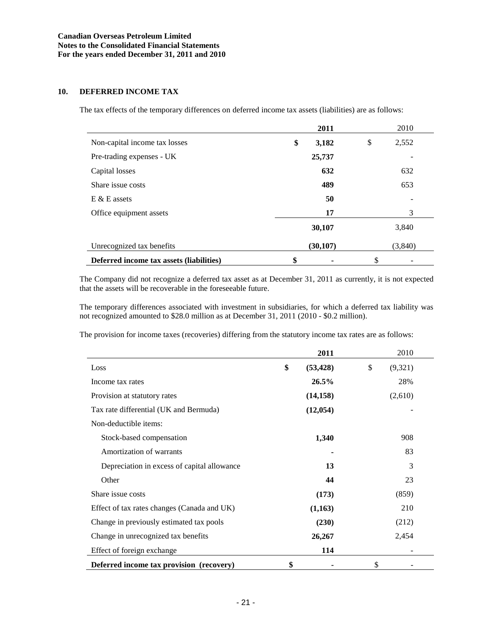# **10. DEFERRED INCOME TAX**

The tax effects of the temporary differences on deferred income tax assets (liabilities) are as follows:

|                                          | 2011        | 2010        |
|------------------------------------------|-------------|-------------|
| Non-capital income tax losses            | \$<br>3,182 | \$<br>2,552 |
| Pre-trading expenses - UK                | 25,737      |             |
| Capital losses                           | 632         | 632         |
| Share issue costs                        | 489         | 653         |
| $E \& E$ assets                          | 50          |             |
| Office equipment assets                  | 17          | 3           |
|                                          | 30,107      | 3,840       |
| Unrecognized tax benefits                | (30, 107)   | (3,840)     |
| Deferred income tax assets (liabilities) | \$          | \$          |

The Company did not recognize a deferred tax asset as at December 31, 2011 as currently, it is not expected that the assets will be recoverable in the foreseeable future.

The temporary differences associated with investment in subsidiaries, for which a deferred tax liability was not recognized amounted to \$28.0 million as at December 31, 2011 (2010 - \$0.2 million).

The provision for income taxes (recoveries) differing from the statutory income tax rates are as follows:

|                                             | 2011            | 2010          |
|---------------------------------------------|-----------------|---------------|
| Loss                                        | \$<br>(53, 428) | \$<br>(9,321) |
| Income tax rates                            | 26.5%           | 28%           |
| Provision at statutory rates                | (14, 158)       | (2,610)       |
| Tax rate differential (UK and Bermuda)      | (12, 054)       |               |
| Non-deductible items:                       |                 |               |
| Stock-based compensation                    | 1,340           | 908           |
| Amortization of warrants                    |                 | 83            |
| Depreciation in excess of capital allowance | 13              | 3             |
| Other                                       | 44              | 23            |
| Share issue costs                           | (173)           | (859)         |
| Effect of tax rates changes (Canada and UK) | (1,163)         | 210           |
| Change in previously estimated tax pools    | (230)           | (212)         |
| Change in unrecognized tax benefits         | 26,267          | 2,454         |
| Effect of foreign exchange                  | 114             |               |
| Deferred income tax provision (recovery)    | \$              | \$            |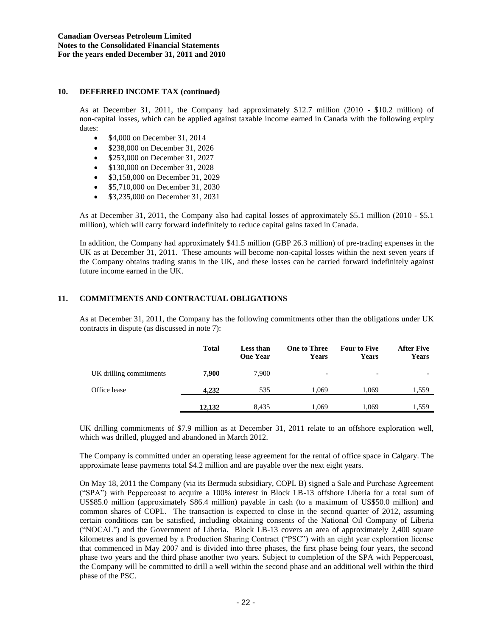### **10. DEFERRED INCOME TAX (continued)**

As at December 31, 2011, the Company had approximately \$12.7 million (2010 - \$10.2 million) of non-capital losses, which can be applied against taxable income earned in Canada with the following expiry dates:

- \$4,000 on December 31, 2014
- \$238,000 on December 31, 2026
- **•** \$253,000 on December 31, 2027
- **•** \$130,000 on December 31, 2028
- \$3,158,000 on December 31, 2029
- **•** \$5,710,000 on December 31, 2030
- **•** \$3,235,000 on December 31, 2031

As at December 31, 2011, the Company also had capital losses of approximately \$5.1 million (2010 - \$5.1 million), which will carry forward indefinitely to reduce capital gains taxed in Canada.

In addition, the Company had approximately \$41.5 million (GBP 26.3 million) of pre-trading expenses in the UK as at December 31, 2011. These amounts will become non-capital losses within the next seven years if the Company obtains trading status in the UK, and these losses can be carried forward indefinitely against future income earned in the UK.

# **11. COMMITMENTS AND CONTRACTUAL OBLIGATIONS**

As at December 31, 2011, the Company has the following commitments other than the obligations under UK contracts in dispute (as discussed in note 7):

|                         | <b>Total</b> | Less than<br><b>One Year</b> | <b>One to Three</b><br><b>Years</b> | <b>Four to Five</b><br>Years | <b>After Five</b><br><b>Years</b> |
|-------------------------|--------------|------------------------------|-------------------------------------|------------------------------|-----------------------------------|
| UK drilling commitments | 7.900        | 7.900                        | $\overline{\phantom{a}}$            | $\overline{\phantom{a}}$     |                                   |
| Office lease            | 4.232        | 535                          | 1,069                               | 1,069                        | 1,559                             |
|                         | 12.132       | 8.435                        | 1.069                               | 1.069                        | 1,559                             |

UK drilling commitments of \$7.9 million as at December 31, 2011 relate to an offshore exploration well, which was drilled, plugged and abandoned in March 2012.

The Company is committed under an operating lease agreement for the rental of office space in Calgary. The approximate lease payments total \$4.2 million and are payable over the next eight years.

On May 18, 2011 the Company (via its Bermuda subsidiary, COPL B) signed a Sale and Purchase Agreement ("SPA") with Peppercoast to acquire a 100% interest in Block LB-13 offshore Liberia for a total sum of US\$85.0 million (approximately \$86.4 million) payable in cash (to a maximum of US\$50.0 million) and common shares of COPL. The transaction is expected to close in the second quarter of 2012, assuming certain conditions can be satisfied, including obtaining consents of the National Oil Company of Liberia ("NOCAL") and the Government of Liberia. Block LB-13 covers an area of approximately 2,400 square kilometres and is governed by a Production Sharing Contract ("PSC") with an eight year exploration license that commenced in May 2007 and is divided into three phases, the first phase being four years, the second phase two years and the third phase another two years. Subject to completion of the SPA with Peppercoast, the Company will be committed to drill a well within the second phase and an additional well within the third phase of the PSC.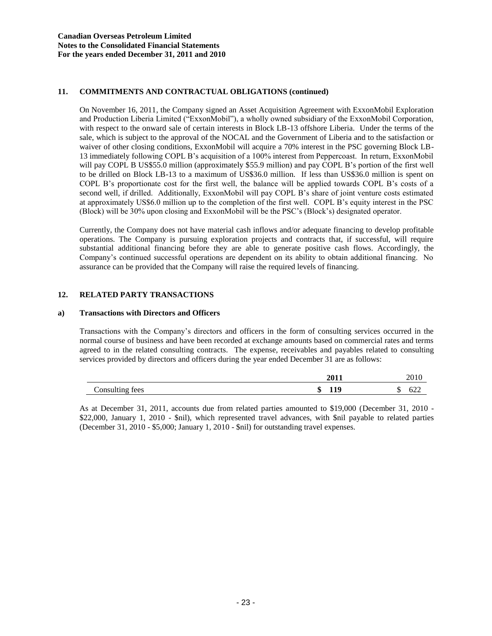# **11. COMMITMENTS AND CONTRACTUAL OBLIGATIONS (continued)**

On November 16, 2011, the Company signed an Asset Acquisition Agreement with ExxonMobil Exploration and Production Liberia Limited ("ExxonMobil"), a wholly owned subsidiary of the ExxonMobil Corporation, with respect to the onward sale of certain interests in Block LB-13 offshore Liberia. Under the terms of the sale, which is subject to the approval of the NOCAL and the Government of Liberia and to the satisfaction or waiver of other closing conditions, ExxonMobil will acquire a 70% interest in the PSC governing Block LB-13 immediately following COPL B's acquisition of a 100% interest from Peppercoast. In return, ExxonMobil will pay COPL B US\$55.0 million (approximately \$55.9 million) and pay COPL B's portion of the first well to be drilled on Block LB-13 to a maximum of US\$36.0 million. If less than US\$36.0 million is spent on COPL B's proportionate cost for the first well, the balance will be applied towards COPL B's costs of a second well, if drilled. Additionally, ExxonMobil will pay COPL B's share of joint venture costs estimated at approximately US\$6.0 million up to the completion of the first well. COPL B's equity interest in the PSC (Block) will be 30% upon closing and ExxonMobil will be the PSC's (Block's) designated operator.

Currently, the Company does not have material cash inflows and/or adequate financing to develop profitable operations. The Company is pursuing exploration projects and contracts that, if successful, will require substantial additional financing before they are able to generate positive cash flows. Accordingly, the Company's continued successful operations are dependent on its ability to obtain additional financing. No assurance can be provided that the Company will raise the required levels of financing.

### **12. RELATED PARTY TRANSACTIONS**

### **a) Transactions with Directors and Officers**

Transactions with the Company's directors and officers in the form of consulting services occurred in the normal course of business and have been recorded at exchange amounts based on commercial rates and terms agreed to in the related consulting contracts. The expense, receivables and payables related to consulting services provided by directors and officers during the year ended December 31 are as follows:

|                 | <b>2011</b> | ∠∪⊥∪       |
|-----------------|-------------|------------|
| Consulting fees | ٨D<br>      | 022<br>دا، |

As at December 31, 2011, accounts due from related parties amounted to \$19,000 (December 31, 2010 - \$22,000, January 1, 2010 - \$nil), which represented travel advances, with \$nil payable to related parties (December 31, 2010 - \$5,000; January 1, 2010 - \$nil) for outstanding travel expenses.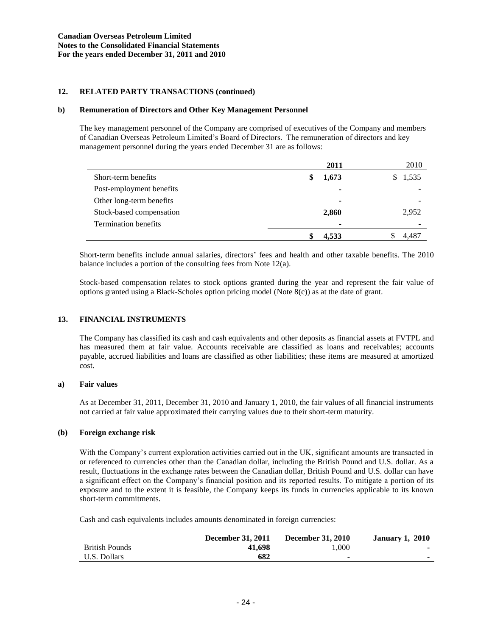# **12. RELATED PARTY TRANSACTIONS (continued)**

### **b) Remuneration of Directors and Other Key Management Personnel**

The key management personnel of the Company are comprised of executives of the Company and members of Canadian Overseas Petroleum Limited's Board of Directors. The remuneration of directors and key management personnel during the years ended December 31 are as follows:

|                             | 2011                     | 2010    |
|-----------------------------|--------------------------|---------|
| Short-term benefits         | 1,673<br>S               | \$1,535 |
| Post-employment benefits    | $\overline{\phantom{a}}$ |         |
| Other long-term benefits    |                          |         |
| Stock-based compensation    | 2,860                    | 2,952   |
| <b>Termination benefits</b> |                          |         |
|                             | 4.533                    |         |

Short-term benefits include annual salaries, directors' fees and health and other taxable benefits. The 2010 balance includes a portion of the consulting fees from Note 12(a).

Stock-based compensation relates to stock options granted during the year and represent the fair value of options granted using a Black-Scholes option pricing model (Note 8(c)) as at the date of grant.

# **13. FINANCIAL INSTRUMENTS**

The Company has classified its cash and cash equivalents and other deposits as financial assets at FVTPL and has measured them at fair value. Accounts receivable are classified as loans and receivables; accounts payable, accrued liabilities and loans are classified as other liabilities; these items are measured at amortized cost.

### **a) Fair values**

As at December 31, 2011, December 31, 2010 and January 1, 2010, the fair values of all financial instruments not carried at fair value approximated their carrying values due to their short-term maturity.

### **(b) Foreign exchange risk**

With the Company's current exploration activities carried out in the UK, significant amounts are transacted in or referenced to currencies other than the Canadian dollar, including the British Pound and U.S. dollar. As a result, fluctuations in the exchange rates between the Canadian dollar, British Pound and U.S. dollar can have a significant effect on the Company's financial position and its reported results. To mitigate a portion of its exposure and to the extent it is feasible, the Company keeps its funds in currencies applicable to its known short-term commitments.

Cash and cash equivalents includes amounts denominated in foreign currencies:

|                       | <b>December 31, 2011</b> | <b>December 31, 2010</b> | <b>January 1, 2010</b> |
|-----------------------|--------------------------|--------------------------|------------------------|
| <b>British Pounds</b> | 41.698                   | 1.000                    |                        |
| U.S. Dollars          | 682                      | $\overline{\phantom{a}}$ |                        |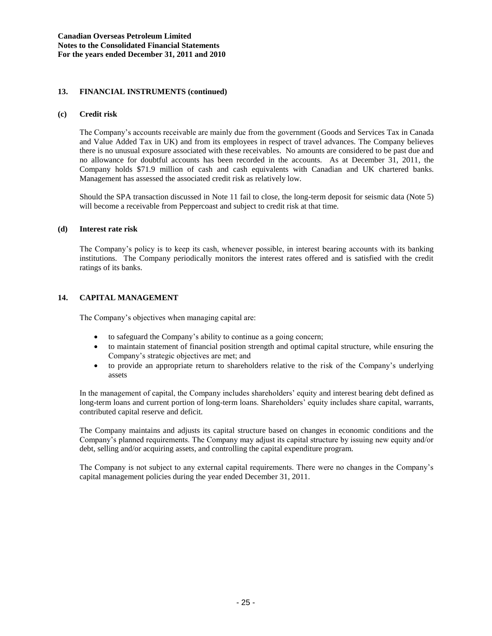# **13. FINANCIAL INSTRUMENTS (continued)**

### **(c) Credit risk**

The Company's accounts receivable are mainly due from the government (Goods and Services Tax in Canada and Value Added Tax in UK) and from its employees in respect of travel advances. The Company believes there is no unusual exposure associated with these receivables. No amounts are considered to be past due and no allowance for doubtful accounts has been recorded in the accounts. As at December 31, 2011, the Company holds \$71.9 million of cash and cash equivalents with Canadian and UK chartered banks. Management has assessed the associated credit risk as relatively low.

Should the SPA transaction discussed in Note 11 fail to close, the long-term deposit for seismic data (Note 5) will become a receivable from Peppercoast and subject to credit risk at that time.

### **(d) Interest rate risk**

The Company's policy is to keep its cash, whenever possible, in interest bearing accounts with its banking institutions. The Company periodically monitors the interest rates offered and is satisfied with the credit ratings of its banks.

# **14. CAPITAL MANAGEMENT**

The Company's objectives when managing capital are:

- to safeguard the Company's ability to continue as a going concern;
- to maintain statement of financial position strength and optimal capital structure, while ensuring the Company's strategic objectives are met; and
- to provide an appropriate return to shareholders relative to the risk of the Company's underlying assets

In the management of capital, the Company includes shareholders' equity and interest bearing debt defined as long-term loans and current portion of long-term loans. Shareholders' equity includes share capital, warrants, contributed capital reserve and deficit.

The Company maintains and adjusts its capital structure based on changes in economic conditions and the Company's planned requirements. The Company may adjust its capital structure by issuing new equity and/or debt, selling and/or acquiring assets, and controlling the capital expenditure program.

The Company is not subject to any external capital requirements. There were no changes in the Company's capital management policies during the year ended December 31, 2011.